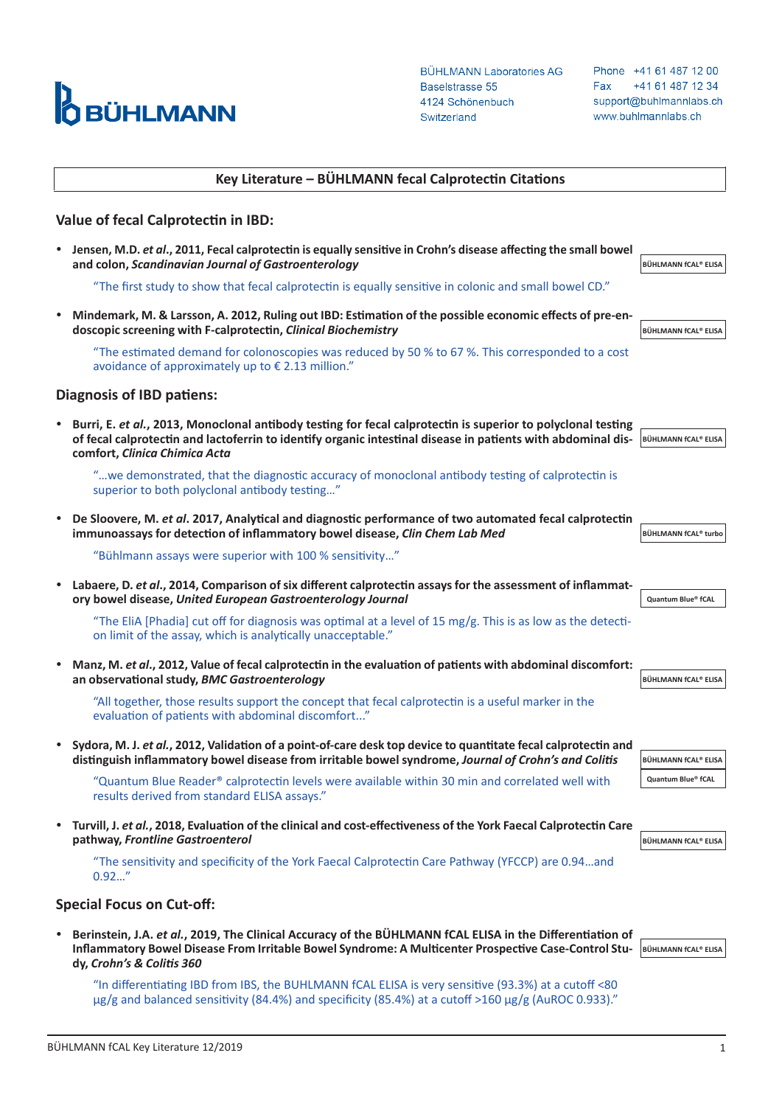**BÜHLMANN Laboratories AG** Baselstrasse 55 4124 Schönenbuch Switzerland

Phone +41 61 487 12 00 +41 61 487 12 34 Fax support@buhlmannlabs.ch www.buhlmannlabs.ch

#### **Key Literature – BÜHLMANN fecal Calprotectin Citations**

#### **Value of fecal Calprotectin in IBD:**

|                                  | Jensen, M.D. et al., 2011, Fecal calprotectin is equally sensitive in Crohn's disease affecting the small bowel<br>and colon, Scandinavian Journal of Gastroenterology                                                                                        | BÜHLMANN fCAL® ELISA        |  |
|----------------------------------|---------------------------------------------------------------------------------------------------------------------------------------------------------------------------------------------------------------------------------------------------------------|-----------------------------|--|
|                                  | "The first study to show that fecal calprotectin is equally sensitive in colonic and small bowel CD."                                                                                                                                                         |                             |  |
| $\bullet$                        | Mindemark, M. & Larsson, A. 2012, Ruling out IBD: Estimation of the possible economic effects of pre-en-<br>doscopic screening with F-calprotectin, Clinical Biochemistry                                                                                     | <b>BÜHLMANN fCAL® ELISA</b> |  |
|                                  | "The estimated demand for colonoscopies was reduced by 50 % to 67 %. This corresponded to a cost<br>avoidance of approximately up to € 2.13 million."                                                                                                         |                             |  |
| <b>Diagnosis of IBD patiens:</b> |                                                                                                                                                                                                                                                               |                             |  |
|                                  | Burri, E. et al., 2013, Monoclonal antibody testing for fecal calprotectin is superior to polyclonal testing<br>of fecal calprotectin and lactoferrin to identify organic intestinal disease in patients with abdominal dis-<br>comfort, Clinica Chimica Acta | <b>BÜHLMANN fCAL® ELISA</b> |  |
|                                  | "we demonstrated, that the diagnostic accuracy of monoclonal antibody testing of calprotectin is<br>superior to both polyclonal antibody testing"                                                                                                             |                             |  |
|                                  | De Sloovere, M. et al. 2017, Analytical and diagnostic performance of two automated fecal calprotectin<br>immunoassays for detection of inflammatory bowel disease, Clin Chem Lab Med                                                                         | BÜHLMANN fCAL® turbo        |  |
|                                  | "Bühlmann assays were superior with 100 % sensitivity"                                                                                                                                                                                                        |                             |  |
| $\bullet$                        | Labaere, D. et al., 2014, Comparison of six different calprotectin assays for the assessment of inflammat-<br>ory bowel disease, United European Gastroenterology Journal                                                                                     | Quantum Blue® fCAL          |  |
|                                  | "The EliA [Phadia] cut off for diagnosis was optimal at a level of 15 mg/g. This is as low as the detecti-<br>on limit of the assay, which is analytically unacceptable."                                                                                     |                             |  |
|                                  | Manz, M. et al., 2012, Value of fecal calprotectin in the evaluation of patients with abdominal discomfort:<br>an observational study, BMC Gastroenterology                                                                                                   | BÜHLMANN fCAL® ELISA        |  |
|                                  | "All together, those results support the concept that fecal calprotectin is a useful marker in the<br>evaluation of patients with abdominal discomfort"                                                                                                       |                             |  |
|                                  | Sydora, M. J. et al., 2012, Validation of a point-of-care desk top device to quantitate fecal calprotectin and<br>distinguish inflammatory bowel disease from irritable bowel syndrome, Journal of Crohn's and Colitis                                        | BÜHLMANN fCAL® ELISA        |  |
|                                  | "Quantum Blue Reader® calprotectin levels were available within 30 min and correlated well with<br>results derived from standard ELISA assays."                                                                                                               | Quantum Blue® fCAL          |  |
|                                  | Turvill, J. et al., 2018, Evaluation of the clinical and cost-effectiveness of the York Faecal Calprotectin Care<br>pathway, Frontline Gastroenterol                                                                                                          | <b>BÜHLMANN fCAL® ELISA</b> |  |
|                                  | "The sensitivity and specificity of the York Faecal Calprotectin Care Pathway (YFCCP) are 0.94and<br>$0.92$ "                                                                                                                                                 |                             |  |
| <b>Special Focus on Cut-off:</b> |                                                                                                                                                                                                                                                               |                             |  |
|                                  | Berinstein, J.A. et al., 2019, The Clinical Accuracy of the BÜHLMANN fCAL ELISA in the Differentiation of<br>Inflammatory Bowel Disease From Irritable Bowel Syndrome: A Multicenter Prospective Case-Control Stu-<br>dy, Crohn's & Colitis 360               | <b>BÜHLMANN fCAL® ELISA</b> |  |
|                                  | "In differentiating IBD from IBS, the BUHLMANN fCAL ELISA is very sensitive (93.3%) at a cutoff <80                                                                                                                                                           |                             |  |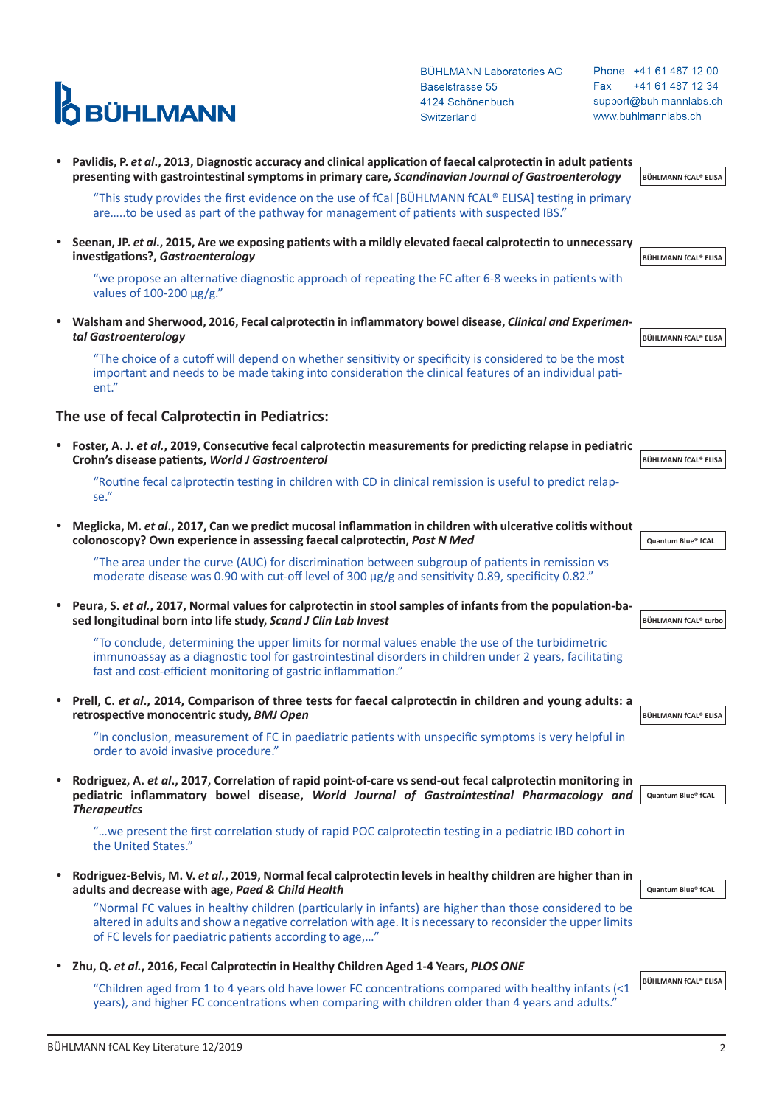# **D**<br>**O** BÜHLMANN

**BÜHLMANN Laboratories AG** Baselstrasse 55 4124 Schönenbuch Switzerland

Phone +41 61 487 12 00 Fax +41 61 487 12 34 support@buhlmannlabs.ch www.buhlmannlabs.ch

| $\bullet$ | Pavlidis, P. et al., 2013, Diagnostic accuracy and clinical application of faecal calprotectin in adult patients<br>presenting with gastrointestinal symptoms in primary care, Scandinavian Journal of Gastroenterology                                                         | BÜHLMANN fCAL® ELISA        |
|-----------|---------------------------------------------------------------------------------------------------------------------------------------------------------------------------------------------------------------------------------------------------------------------------------|-----------------------------|
|           | "This study provides the first evidence on the use of fCal [BÜHLMANN fCAL® ELISA] testing in primary<br>areto be used as part of the pathway for management of patients with suspected IBS."                                                                                    |                             |
| ٠         | Seenan, JP. et al., 2015, Are we exposing patients with a mildly elevated faecal calprotectin to unnecessary<br>investigations?, Gastroenterology                                                                                                                               | <b>BÜHLMANN fCAL® ELISA</b> |
|           | "we propose an alternative diagnostic approach of repeating the FC after 6-8 weeks in patients with<br>values of 100-200 µg/g."                                                                                                                                                 |                             |
|           | Walsham and Sherwood, 2016, Fecal calprotectin in inflammatory bowel disease, Clinical and Experimen-<br>tal Gastroenterology                                                                                                                                                   | BÜHLMANN fCAL® ELISA        |
|           | "The choice of a cutoff will depend on whether sensitivity or specificity is considered to be the most<br>important and needs to be made taking into consideration the clinical features of an individual pati-<br>ent."                                                        |                             |
|           | The use of fecal Calprotectin in Pediatrics:                                                                                                                                                                                                                                    |                             |
|           | • Foster, A. J. et al., 2019, Consecutive fecal calprotectin measurements for predicting relapse in pediatric<br>Crohn's disease patients, World J Gastroenterol                                                                                                                | BÜHLMANN fCAL® ELISA        |
|           | "Routine fecal calprotectin testing in children with CD in clinical remission is useful to predict relap-<br>se."                                                                                                                                                               |                             |
| $\bullet$ | Meglicka, M. et al., 2017, Can we predict mucosal inflammation in children with ulcerative colitis without<br>colonoscopy? Own experience in assessing faecal calprotectin, Post N Med                                                                                          | Quantum Blue® fCAL          |
|           | "The area under the curve (AUC) for discrimination between subgroup of patients in remission vs<br>moderate disease was 0.90 with cut-off level of 300 µg/g and sensitivity 0.89, specificity 0.82."                                                                            |                             |
|           | Peura, S. et al., 2017, Normal values for calprotectin in stool samples of infants from the population-ba-<br>sed longitudinal born into life study, Scand J Clin Lab Invest                                                                                                    | BÜHLMANN fCAL® turbo        |
|           | "To conclude, determining the upper limits for normal values enable the use of the turbidimetric<br>immunoassay as a diagnostic tool for gastrointestinal disorders in children under 2 years, facilitating<br>fast and cost-efficient monitoring of gastric inflammation."     |                             |
| $\bullet$ | Prell, C. et al., 2014, Comparison of three tests for faecal calprotectin in children and young adults: a<br>retrospective monocentric study, BMJ Open                                                                                                                          | BÜHLMANN fCAL® ELISA        |
|           | "In conclusion, measurement of FC in paediatric patients with unspecific symptoms is very helpful in<br>order to avoid invasive procedure."                                                                                                                                     |                             |
| $\bullet$ | Rodriguez, A. et al., 2017, Correlation of rapid point-of-care vs send-out fecal calprotectin monitoring in<br>pediatric inflammatory bowel disease, World Journal of Gastrointestinal Pharmacology and<br><b>Therapeutics</b>                                                  | Quantum Blue® fCAL          |
|           | " we present the first correlation study of rapid POC calprotectin testing in a pediatric IBD cohort in<br>the United States."                                                                                                                                                  |                             |
| $\bullet$ | Rodriguez-Belvis, M. V. et al., 2019, Normal fecal calprotectin levels in healthy children are higher than in<br>adults and decrease with age, Paed & Child Health                                                                                                              | <b>Quantum Blue® fCAL</b>   |
|           | "Normal FC values in healthy children (particularly in infants) are higher than those considered to be<br>altered in adults and show a negative correlation with age. It is necessary to reconsider the upper limits<br>of FC levels for paediatric patients according to age," |                             |
|           | • Zhu, Q. et al., 2016, Fecal Calprotectin in Healthy Children Aged 1-4 Years, PLOS ONE                                                                                                                                                                                         |                             |
|           | "Children aged from 1 to 4 years old have lower FC concentrations compared with healthy infants $\left\langle \leq 1\right\rangle$                                                                                                                                              | BÜHLMANN fCAL® ELISA        |

years), and higher FC concentrations when comparing with children older than 4 years and adults."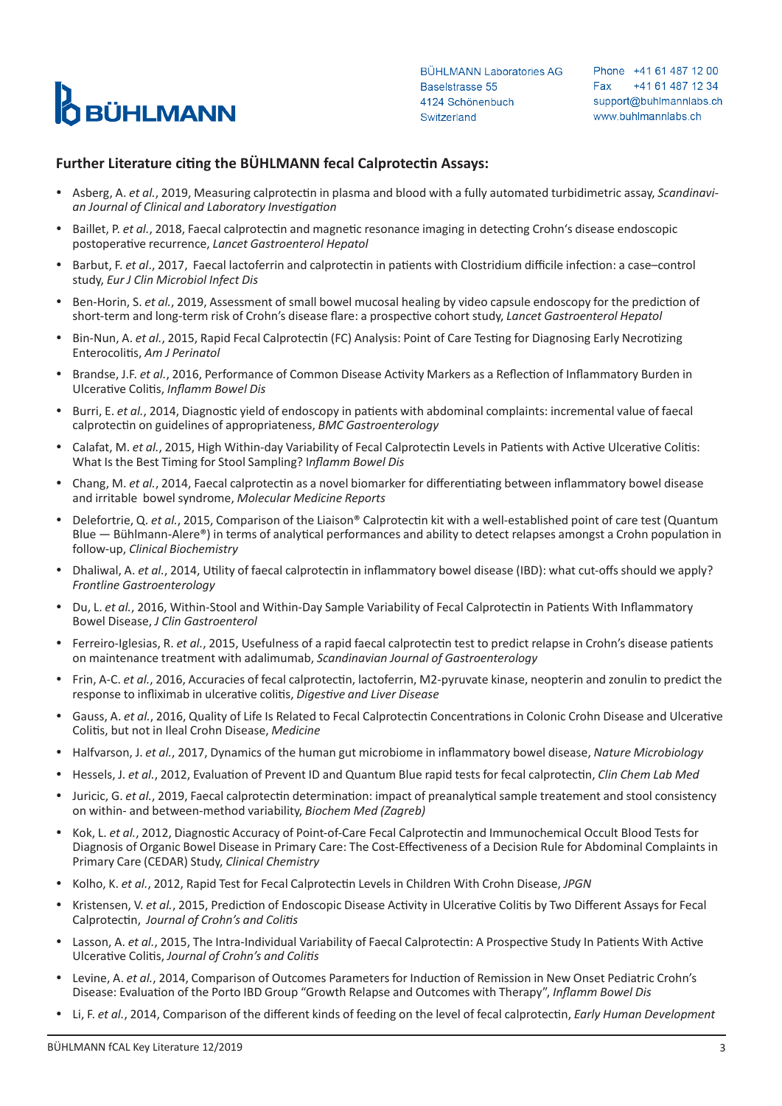# **O** BÜHLMANN

**BÜHLMANN Laboratories AG** Baselstrasse 55 4124 Schönenbuch Switzerland

Phone +41 61 487 12 00 +41 61 487 12 34 Fax support@buhlmannlabs.ch www.buhlmannlabs.ch

### **Further Literature citing the BÜHLMANN fecal Calprotectin Assays:**

- y Asberg, A. *et al.*, 2019, Measuring calprotectin in plasma and blood with a fully automated turbidimetric assay, *Scandinavian Journal of Clinical and Laboratory Investigation*
- y Baillet, P. *et al.*, 2018, Faecal calprotectin and magnetic resonance imaging in detecting Crohn's disease endoscopic postoperative recurrence, *Lancet Gastroenterol Hepatol*
- y Barbut, F. *et al*., 2017, Faecal lactoferrin and calprotectin in patients with Clostridium difficile infection: a case–control study, *Eur J Clin Microbiol Infect Dis*
- y Ben-Horin, S. *et al.*, 2019, Assessment of small bowel mucosal healing by video capsule endoscopy for the prediction of short-term and long-term risk of Crohn's disease flare: a prospective cohort study, *Lancet Gastroenterol Hepatol*
- y Bin-Nun, A. *et al.*, 2015, Rapid Fecal Calprotectin (FC) Analysis: Point of Care Testing for Diagnosing Early Necrotizing Enterocolitis, *Am J Perinatol*
- y Brandse, J.F. *et al.*, 2016, Performance of Common Disease Activity Markers as a Reflection of Inflammatory Burden in Ulcerative Colitis, *Inflamm Bowel Dis*
- y Burri, E. *et al.*, 2014, Diagnostic yield of endoscopy in patients with abdominal complaints: incremental value of faecal calprotectin on guidelines of appropriateness, *BMC Gastroenterology*
- y Calafat, M. *et al.*, 2015, High Within-day Variability of Fecal Calprotectin Levels in Patients with Active Ulcerative Colitis: What Is the Best Timing for Stool Sampling? I*nflamm Bowel Dis*
- y Chang, M. *et al.*, 2014, Faecal calprotectin as a novel biomarker for differentiating between inflammatory bowel disease and irritable bowel syndrome, *Molecular Medicine Reports*
- y Delefortrie, Q. *et al.*, 2015, Comparison of the Liaison® Calprotectin kit with a well-established point of care test (Quantum Blue — Bühlmann-Alere®) in terms of analytical performances and ability to detect relapses amongst a Crohn population in follow-up, *Clinical Biochemistry*
- y Dhaliwal, A. *et al.*, 2014, Utility of faecal calprotectin in inflammatory bowel disease (IBD): what cut-offs should we apply? *Frontline Gastroenterology*
- y Du, L. *et al.*, 2016, Within-Stool and Within-Day Sample Variability of Fecal Calprotectin in Patients With Inflammatory Bowel Disease, *J Clin Gastroenterol*
- y Ferreiro-Iglesias, R. *et al.*, 2015, Usefulness of a rapid faecal calprotectin test to predict relapse in Crohn's disease patients on maintenance treatment with adalimumab, *Scandinavian Journal of Gastroenterology*
- y Frin, A-C. *et al.*, 2016, Accuracies of fecal calprotectin, lactoferrin, M2-pyruvate kinase, neopterin and zonulin to predict the response to infliximab in ulcerative colitis, *Digestive and Liver Disease*
- Gauss, A. *et al.*, 2016, Quality of Life Is Related to Fecal Calprotectin Concentrations in Colonic Crohn Disease and Ulcerative Colitis, but not in Ileal Crohn Disease, *Medicine*
- y Halfvarson, J. *et al.*, 2017, Dynamics of the human gut microbiome in inflammatory bowel disease, *Nature Microbiology*
- y Hessels, J. *et al.*, 2012, Evaluation of Prevent ID and Quantum Blue rapid tests for fecal calprotectin, *Clin Chem Lab Med*
- Juricic, G. et al., 2019, Faecal calprotectin determination: impact of preanalytical sample treatement and stool consistency on within- and between-method variability, *Biochem Med (Zagreb)*
- y Kok, L. *et al.*, 2012, Diagnostic Accuracy of Point-of-Care Fecal Calprotectin and Immunochemical Occult Blood Tests for Diagnosis of Organic Bowel Disease in Primary Care: The Cost-Effectiveness of a Decision Rule for Abdominal Complaints in Primary Care (CEDAR) Study, *Clinical Chemistry*
- y Kolho, K. *et al.*, 2012, Rapid Test for Fecal Calprotectin Levels in Children With Crohn Disease, *JPGN*
- Kristensen, V. et al., 2015, Prediction of Endoscopic Disease Activity in Ulcerative Colitis by Two Different Assays for Fecal Calprotectin, *Journal of Crohn's and Colitis*
- Lasson, A. *et al.*, 2015, The Intra-Individual Variability of Faecal Calprotectin: A Prospective Study In Patients With Active Ulcerative Colitis, *Journal of Crohn's and Colitis*
- y Levine, A. *et al.*, 2014, Comparison of Outcomes Parameters for Induction of Remission in New Onset Pediatric Crohn's Disease: Evaluation of the Porto IBD Group "Growth Relapse and Outcomes with Therapy", *Inflamm Bowel Dis*
- y Li, F. *et al.*, 2014, Comparison of the different kinds of feeding on the level of fecal calprotectin, *Early Human Development*